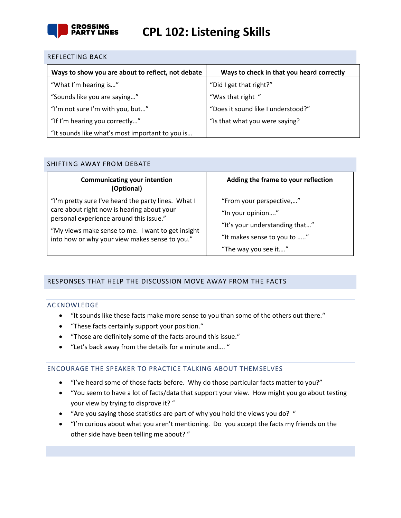

# **CPL 102: Listening Skills**

#### REFLECTING BACK

| Ways to show you are about to reflect, not debate | Ways to check in that you heard correctly |
|---------------------------------------------------|-------------------------------------------|
| "What I'm hearing is"                             | "Did I get that right?"                   |
| "Sounds like you are saying"                      | "Was that right"                          |
| "I'm not sure I'm with you, but"                  | "Does it sound like I understood?"        |
| "If I'm hearing you correctly"                    | "Is that what you were saying?            |
| "It sounds like what's most important to you is   |                                           |

### SHIFTING AWAY FROM DEBATE

| <b>Communicating your intention</b><br>(Optional)   | Adding the frame to your reflection |
|-----------------------------------------------------|-------------------------------------|
| "I'm pretty sure I've heard the party lines. What I | "From your perspective,"            |
| care about right now is hearing about your          | "In your opinion"                   |
| personal experience around this issue."             | "It's your understanding that"      |
| "My views make sense to me. I want to get insight   | "It makes sense to you to "         |
| into how or why your view makes sense to you."      | "The way you see it"                |

## RESPONSES THAT HELP THE DISCUSSION MOVE AWAY FROM THE FACTS

### ACKNOWLEDGE

- "It sounds like these facts make more sense to you than some of the others out there."
- "These facts certainly support your position."
- "Those are definitely some of the facts around this issue."
- "Let's back away from the details for a minute and…. "

# ENCOURAGE THE SPEAKER TO PRACTICE TALKING ABOUT THEMSELVES

- "I've heard some of those facts before. Why do those particular facts matter to you?"
- "You seem to have a lot of facts/data that support your view. How might you go about testing your view by trying to disprove it? "
- "Are you saying those statistics are part of why you hold the views you do? "
- "I'm curious about what you aren't mentioning. Do you accept the facts my friends on the other side have been telling me about? "